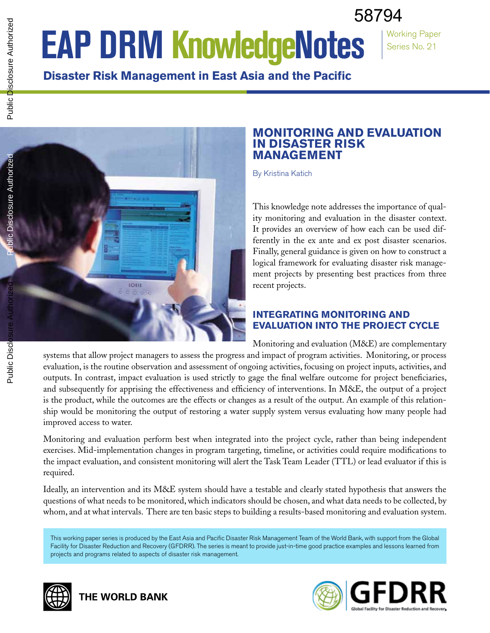# 58794

Working Paper Series No. 21

# **EAP DRM KnowledgeNotes**

**Disaster Risk Management in East Asia and the Pacific**



# **Monitoring and Evaluation in Disaster Risk Management**

By Kristina Katich

This knowledge note addresses the importance of quality monitoring and evaluation in the disaster context. It provides an overview of how each can be used differently in the ex ante and ex post disaster scenarios. Finally, general guidance is given on how to construct a logical framework for evaluating disaster risk management projects by presenting best practices from three recent projects.

# **INTEGRATING MONITORING AND EVALUATION INTO THE PROJECT CYCLE**

Monitoring and evaluation (M&E) are complementary systems that allow project managers to assess the progress and impact of program activities. Monitoring, or process evaluation, is the routine observation and assessment of ongoing activities, focusing on project inputs, activities, and outputs. In contrast, impact evaluation is used strictly to gage the final welfare outcome for project beneficiaries, and subsequently for apprising the effectiveness and efficiency of interventions. In M&E, the output of a project is the product, while the outcomes are the effects or changes as a result of the output. An example of this relationship would be monitoring the output of restoring a water supply system versus evaluating how many people had improved access to water.

Monitoring and evaluation perform best when integrated into the project cycle, rather than being independent exercises. Mid-implementation changes in program targeting, timeline, or activities could require modifications to the impact evaluation, and consistent monitoring will alert the Task Team Leader (TTL) or lead evaluator if this is required.

Ideally, an intervention and its M&E system should have a testable and clearly stated hypothesis that answers the questions of what needs to be monitored, which indicators should be chosen, and what data needs to be collected, by whom, and at what intervals. There are ten basic steps to building a results-based monitoring and evaluation system.

This working paper series is produced by the East Asia and Pacific Disaster Risk Management Team of the World Bank, with support from the Global Facility for Disaster Reduction and Recovery (GFDRR). The series is meant to provide just-in-time good practice examples and lessons learned from projects and programs related to aspects of disaster risk management.



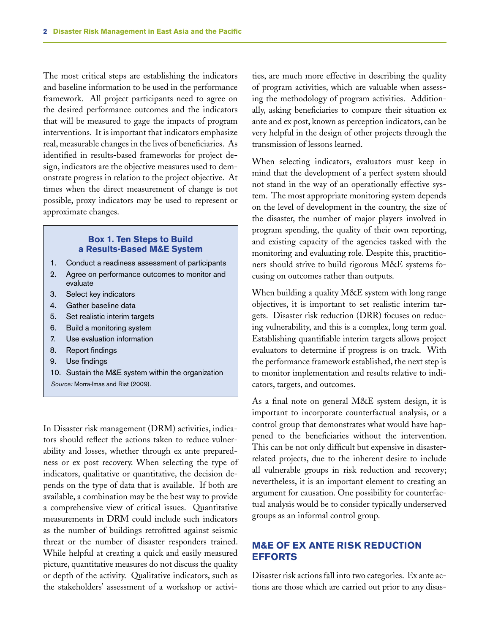The most critical steps are establishing the indicators and baseline information to be used in the performance framework. All project participants need to agree on the desired performance outcomes and the indicators that will be measured to gage the impacts of program interventions. It is important that indicators emphasize real, measurable changes in the lives of beneficiaries. As identified in results-based frameworks for project design, indicators are the objective measures used to demonstrate progress in relation to the project objective. At times when the direct measurement of change is not possible, proxy indicators may be used to represent or approximate changes.

#### **Box 1. Ten Steps to Build a Results-Based M&E System**

- 1. Conduct a readiness assessment of participants
- 2. Agree on performance outcomes to monitor and evaluate
- 3. Select key indicators
- 4. Gather baseline data
- 5. Set realistic interim targets
- 6. Build a monitoring system
- 7. Use evaluation information
- 8. Report findings
- 9. Use findings
- 10. Sustain the M&E system within the organization *Source:* Morra-Imas and Rist (2009).

In Disaster risk management (DRM) activities, indicators should reflect the actions taken to reduce vulnerability and losses, whether through ex ante preparedness or ex post recovery. When selecting the type of indicators, qualitative or quantitative, the decision depends on the type of data that is available. If both are available, a combination may be the best way to provide a comprehensive view of critical issues. Quantitative measurements in DRM could include such indicators as the number of buildings retrofitted against seismic threat or the number of disaster responders trained. While helpful at creating a quick and easily measured picture, quantitative measures do not discuss the quality or depth of the activity. Qualitative indicators, such as the stakeholders' assessment of a workshop or activities, are much more effective in describing the quality of program activities, which are valuable when assessing the methodology of program activities. Additionally, asking beneficiaries to compare their situation ex ante and ex post, known as perception indicators, can be very helpful in the design of other projects through the transmission of lessons learned.

When selecting indicators, evaluators must keep in mind that the development of a perfect system should not stand in the way of an operationally effective system. The most appropriate monitoring system depends on the level of development in the country, the size of the disaster, the number of major players involved in program spending, the quality of their own reporting, and existing capacity of the agencies tasked with the monitoring and evaluating role. Despite this, practitioners should strive to build rigorous M&E systems focusing on outcomes rather than outputs.

When building a quality M&E system with long range objectives, it is important to set realistic interim targets. Disaster risk reduction (DRR) focuses on reducing vulnerability, and this is a complex, long term goal. Establishing quantifiable interim targets allows project evaluators to determine if progress is on track. With the performance framework established, the next step is to monitor implementation and results relative to indicators, targets, and outcomes.

As a final note on general M&E system design, it is important to incorporate counterfactual analysis, or a control group that demonstrates what would have happened to the beneficiaries without the intervention. This can be not only difficult but expensive in disasterrelated projects, due to the inherent desire to include all vulnerable groups in risk reduction and recovery; nevertheless, it is an important element to creating an argument for causation. One possibility for counterfactual analysis would be to consider typically underserved groups as an informal control group.

## **M&E OF EX ANTE RISK REDUCTION EFFORTS**

Disaster risk actions fall into two categories. Ex ante actions are those which are carried out prior to any disas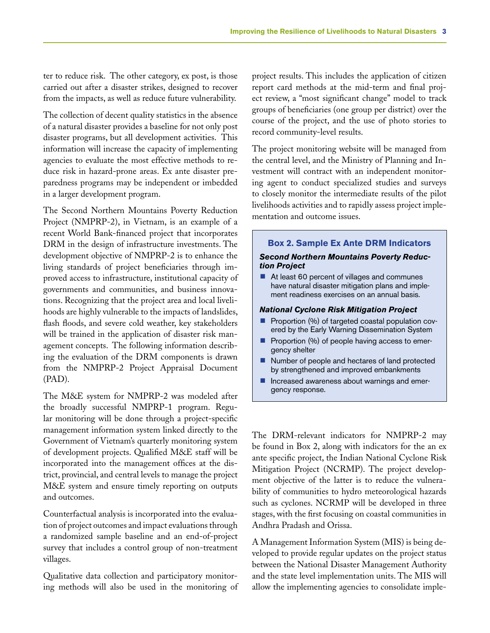ter to reduce risk. The other category, ex post, is those carried out after a disaster strikes, designed to recover from the impacts, as well as reduce future vulnerability.

The collection of decent quality statistics in the absence of a natural disaster provides a baseline for not only post disaster programs, but all development activities. This information will increase the capacity of implementing agencies to evaluate the most effective methods to reduce risk in hazard-prone areas. Ex ante disaster preparedness programs may be independent or imbedded in a larger development program.

The Second Northern Mountains Poverty Reduction Project (NMPRP-2), in Vietnam, is an example of a recent World Bank-financed project that incorporates DRM in the design of infrastructure investments. The development objective of NMPRP-2 is to enhance the living standards of project beneficiaries through improved access to infrastructure, institutional capacity of governments and communities, and business innovations. Recognizing that the project area and local livelihoods are highly vulnerable to the impacts of landslides, flash floods, and severe cold weather, key stakeholders will be trained in the application of disaster risk management concepts. The following information describing the evaluation of the DRM components is drawn from the NMPRP-2 Project Appraisal Document (PAD).

The M&E system for NMPRP-2 was modeled after the broadly successful NMPRP-1 program. Regular monitoring will be done through a project-specific management information system linked directly to the Government of Vietnam's quarterly monitoring system of development projects. Qualified M&E staff will be incorporated into the management offices at the district, provincial, and central levels to manage the project M&E system and ensure timely reporting on outputs and outcomes.

Counterfactual analysis is incorporated into the evaluation of project outcomes and impact evaluations through a randomized sample baseline and an end-of-project survey that includes a control group of non-treatment villages.

Qualitative data collection and participatory monitoring methods will also be used in the monitoring of project results. This includes the application of citizen report card methods at the mid-term and final project review, a "most significant change" model to track groups of beneficiaries (one group per district) over the course of the project, and the use of photo stories to record community-level results.

The project monitoring website will be managed from the central level, and the Ministry of Planning and Investment will contract with an independent monitoring agent to conduct specialized studies and surveys to closely monitor the intermediate results of the pilot livelihoods activities and to rapidly assess project implementation and outcome issues.

**Box 2. Sample Ex Ante DRM Indicators** 

#### *Second Northern Mountains Poverty Reduction Project*

At least 60 percent of villages and communes have natural disaster mitigation plans and implement readiness exercises on an annual basis.

#### *National Cyclone Risk Mitigation Project*

- Proportion (%) of targeted coastal population covered by the Early Warning Dissemination System
- $\blacksquare$  Proportion (%) of people having access to emergency shelter
- Number of people and hectares of land protected by strengthened and improved embankments
- **n** Increased awareness about warnings and emergency response.

The DRM-relevant indicators for NMPRP-2 may be found in Box 2, along with indicators for the an ex ante specific project, the Indian National Cyclone Risk Mitigation Project (NCRMP). The project development objective of the latter is to reduce the vulnerability of communities to hydro meteorological hazards such as cyclones. NCRMP will be developed in three stages, with the first focusing on coastal communities in Andhra Pradash and Orissa.

A Management Information System (MIS) is being developed to provide regular updates on the project status between the National Disaster Management Authority and the state level implementation units. The MIS will allow the implementing agencies to consolidate imple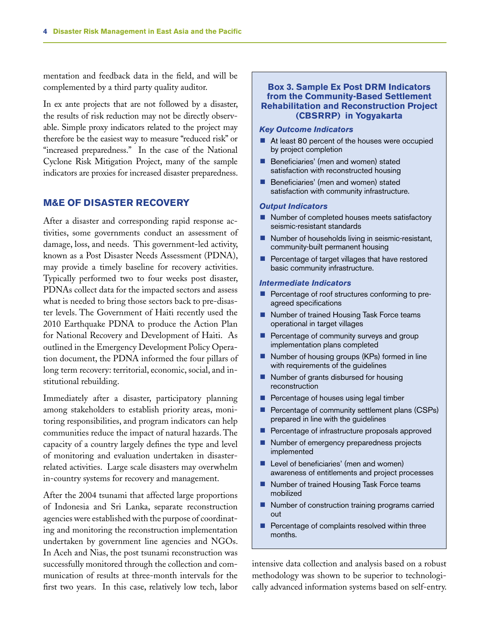mentation and feedback data in the field, and will be complemented by a third party quality auditor.

In ex ante projects that are not followed by a disaster, the results of risk reduction may not be directly observable. Simple proxy indicators related to the project may therefore be the easiest way to measure "reduced risk" or "increased preparedness." In the case of the National Cyclone Risk Mitigation Project, many of the sample indicators are proxies for increased disaster preparedness.

#### **M&E OF DISASTER RECOVERY**

After a disaster and corresponding rapid response activities, some governments conduct an assessment of damage, loss, and needs. This government-led activity, known as a Post Disaster Needs Assessment (PDNA), may provide a timely baseline for recovery activities. Typically performed two to four weeks post disaster, PDNAs collect data for the impacted sectors and assess what is needed to bring those sectors back to pre-disaster levels. The Government of Haiti recently used the 2010 Earthquake PDNA to produce the Action Plan for National Recovery and Development of Haiti. As outlined in the Emergency Development Policy Operation document, the PDNA informed the four pillars of long term recovery: territorial, economic, social, and institutional rebuilding.

Immediately after a disaster, participatory planning among stakeholders to establish priority areas, monitoring responsibilities, and program indicators can help communities reduce the impact of natural hazards. The capacity of a country largely defines the type and level of monitoring and evaluation undertaken in disasterrelated activities. Large scale disasters may overwhelm in-country systems for recovery and management.

After the 2004 tsunami that affected large proportions of Indonesia and Sri Lanka, separate reconstruction agencies were established with the purpose of coordinating and monitoring the reconstruction implementation undertaken by government line agencies and NGOs. In Aceh and Nias, the post tsunami reconstruction was successfully monitored through the collection and communication of results at three-month intervals for the first two years. In this case, relatively low tech, labor

#### **Box 3. Sample Ex Post DRM Indicators from the Community-Based Settlement Rehabilitation and Reconstruction Project (CBSRRP) in Yogyakarta**

#### *Key Outcome Indicators*

- $\blacksquare$  At least 80 percent of the houses were occupied by project completion
- **Beneficiaries'** (men and women) stated satisfaction with reconstructed housing
- **Beneficiaries'** (men and women) stated satisfaction with community infrastructure.

#### *Output Indicators*

- $\blacksquare$  Number of completed houses meets satisfactory seismic-resistant standards
- $\blacksquare$  Number of households living in seismic-resistant, community-built permanent housing
- Percentage of target villages that have restored basic community infrastructure.

#### *Intermediate Indicators*

- $\blacksquare$  Percentage of roof structures conforming to preagreed specifications
- Number of trained Housing Task Force teams operational in target villages
- Percentage of community surveys and group implementation plans completed
- $\blacksquare$  Number of housing groups (KPs) formed in line with requirements of the guidelines
- $\blacksquare$  Number of grants disbursed for housing reconstruction
- n Percentage of houses using legal timber
- **Percentage of community settlement plans (CSPs)** prepared in line with the guidelines
- **Percentage of infrastructure proposals approved**
- $\blacksquare$  Number of emergency preparedness projects implemented
- $\blacksquare$  Level of beneficiaries' (men and women) awareness of entitlements and project processes
- Number of trained Housing Task Force teams mobilized
- Number of construction training programs carried out
- $\blacksquare$  Percentage of complaints resolved within three months.

intensive data collection and analysis based on a robust methodology was shown to be superior to technologically advanced information systems based on self-entry.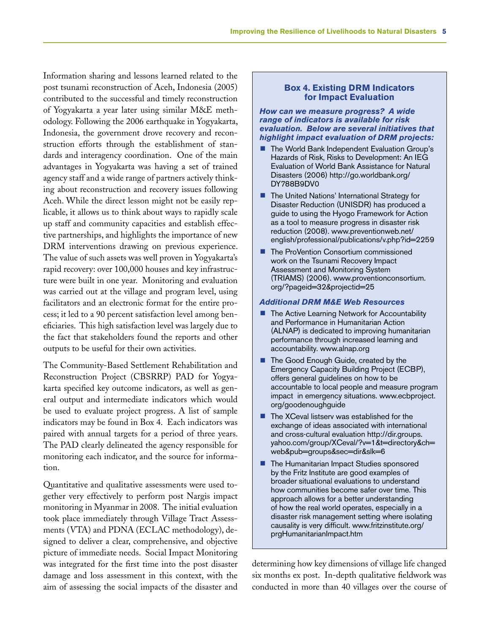Information sharing and lessons learned related to the post tsunami reconstruction of Aceh, Indonesia (2005) contributed to the successful and timely reconstruction of Yogyakarta a year later using similar M&E methodology. Following the 2006 earthquake in Yogyakarta, Indonesia, the government drove recovery and reconstruction efforts through the establishment of standards and interagency coordination. One of the main advantages in Yogyakarta was having a set of trained agency staff and a wide range of partners actively thinking about reconstruction and recovery issues following Aceh. While the direct lesson might not be easily replicable, it allows us to think about ways to rapidly scale up staff and community capacities and establish effective partnerships, and highlights the importance of new DRM interventions drawing on previous experience. The value of such assets was well proven in Yogyakarta's rapid recovery: over 100,000 houses and key infrastructure were built in one year. Monitoring and evaluation was carried out at the village and program level, using facilitators and an electronic format for the entire process; it led to a 90 percent satisfaction level among beneficiaries. This high satisfaction level was largely due to the fact that stakeholders found the reports and other outputs to be useful for their own activities.

The Community-Based Settlement Rehabilitation and Reconstruction Project (CBSRRP) PAD for Yogyakarta specified key outcome indicators, as well as general output and intermediate indicators which would be used to evaluate project progress. A list of sample indicators may be found in Box 4. Each indicators was paired with annual targets for a period of three years. The PAD clearly delineated the agency responsible for monitoring each indicator, and the source for information.

Quantitative and qualitative assessments were used together very effectively to perform post Nargis impact monitoring in Myanmar in 2008. The initial evaluation took place immediately through Village Tract Assessments (VTA) and PDNA (ECLAC methodology), designed to deliver a clear, comprehensive, and objective picture of immediate needs. Social Impact Monitoring was integrated for the first time into the post disaster damage and loss assessment in this context, with the aim of assessing the social impacts of the disaster and

#### **Box 4. Existing DRM Indicators for Impact Evaluation**

*How can we measure progress? A wide range of indicators is available for risk evaluation. Below are several initiatives that highlight impact evaluation of DRM projects:*

- The World Bank Independent Evaluation Group's Hazards of Risk, Risks to Development: An IEG Evaluation of World Bank Assistance for Natural Disasters (2006) http://go.worldbank.org/ DY788B9DV0
- $\blacksquare$  The United Nations' International Strategy for Disaster Reduction (UNISDR) has produced a guide to using the Hyogo Framework for Action as a tool to measure progress in disaster risk reduction (2008). www.preventionweb.net/ english/professional/publications/v.php?id=2259
- The ProVention Consortium commissioned work on the Tsunami Recovery Impact Assessment and Monitoring System (TRIAMS) (2006). www.proventionconsortium. org/?pageid=32&projectid=25

#### *Additional DRM M&E Web Resources*

- $\blacksquare$  The Active Learning Network for Accountability and Performance in Humanitarian Action (ALNAP) is dedicated to improving humanitarian performance through increased learning and accountability. www.alnap.org
- The Good Enough Guide, created by the Emergency Capacity Building Project (ECBP), offers general guidelines on how to be accountable to local people and measure program impact in emergency situations. www.ecbproject. org/goodenoughguide
- $\blacksquare$  The XCeval listserv was established for the exchange of ideas associated with international and cross-cultural evaluation http://dir.groups. yahoo.com/group/XCeval/?v=1&t=directory&ch= web&pub=groups&sec=dir&slk=6
- The Humanitarian Impact Studies sponsored by the Fritz Institute are good examples of broader situational evaluations to understand how communities become safer over time. This approach allows for a better understanding of how the real world operates, especially in a disaster risk management setting where isolating causality is very difficult. www.fritzinstitute.org/ prgHumanitarianImpact.htm

determining how key dimensions of village life changed six months ex post. In-depth qualitative fieldwork was conducted in more than 40 villages over the course of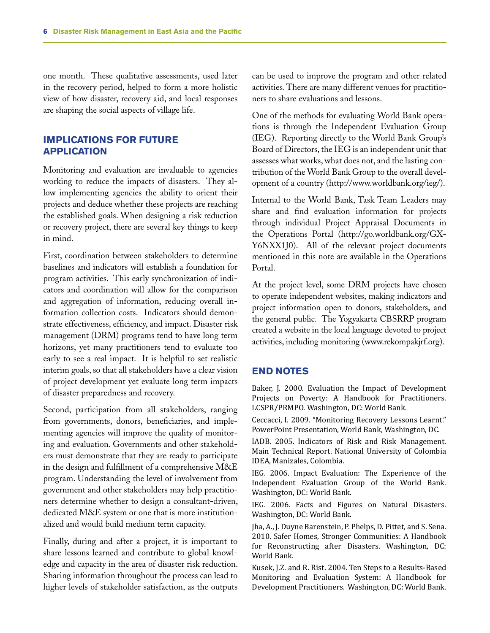one month. These qualitative assessments, used later in the recovery period, helped to form a more holistic view of how disaster, recovery aid, and local responses are shaping the social aspects of village life.

### **IMPLICATIONS FOR FUTURE APPLICATION**

Monitoring and evaluation are invaluable to agencies working to reduce the impacts of disasters. They allow implementing agencies the ability to orient their projects and deduce whether these projects are reaching the established goals. When designing a risk reduction or recovery project, there are several key things to keep in mind.

First, coordination between stakeholders to determine baselines and indicators will establish a foundation for program activities. This early synchronization of indicators and coordination will allow for the comparison and aggregation of information, reducing overall information collection costs. Indicators should demonstrate effectiveness, efficiency, and impact. Disaster risk management (DRM) programs tend to have long term horizons, yet many practitioners tend to evaluate too early to see a real impact. It is helpful to set realistic interim goals, so that all stakeholders have a clear vision of project development yet evaluate long term impacts of disaster preparedness and recovery.

Second, participation from all stakeholders, ranging from governments, donors, beneficiaries, and implementing agencies will improve the quality of monitoring and evaluation. Governments and other stakeholders must demonstrate that they are ready to participate in the design and fulfillment of a comprehensive M&E program. Understanding the level of involvement from government and other stakeholders may help practitioners determine whether to design a consultant-driven, dedicated M&E system or one that is more institutionalized and would build medium term capacity.

Finally, during and after a project, it is important to share lessons learned and contribute to global knowledge and capacity in the area of disaster risk reduction. Sharing information throughout the process can lead to higher levels of stakeholder satisfaction, as the outputs can be used to improve the program and other related activities. There are many different venues for practitioners to share evaluations and lessons.

One of the methods for evaluating World Bank operations is through the Independent Evaluation Group (IEG). Reporting directly to the World Bank Group's Board of Directors, the IEG is an independent unit that assesses what works, what does not, and the lasting contribution of the World Bank Group to the overall development of a country (http://www.worldbank.org/ieg/).

Internal to the World Bank, Task Team Leaders may share and find evaluation information for projects through individual Project Appraisal Documents in the Operations Portal (http://go.worldbank.org/GX-Y6NXX1J0). All of the relevant project documents mentioned in this note are available in the Operations Portal.

At the project level, some DRM projects have chosen to operate independent websites, making indicators and project information open to donors, stakeholders, and the general public. The Yogyakarta CBSRRP program created a website in the local language devoted to project activities, including monitoring (www.rekompakjrf.org).

#### **END NOTES**

Baker, J. 2000. Evaluation the Impact of Development Projects on Poverty: A Handbook for Practitioners. LCSPR/PRMPO. Washington, DC: World Bank.

Ceccacci, I. 2009. "Monitoring Recovery Lessons Learnt." PowerPoint Presentation, World Bank, Washington, DC.

IADB. 2005. Indicators of Risk and Risk Management. Main Technical Report. National University of Colombia IDEA, Manizales, Colombia.

IEG. 2006. Impact Evaluation: The Experience of the Independent Evaluation Group of the World Bank. Washington, DC: World Bank.

IEG. 2006. Facts and Figures on Natural Disasters. Washington, DC: World Bank.

Jha, A., J. Duyne Barenstein, P. Phelps, D. Pittet, and S. Sena. 2010. Safer Homes, Stronger Communities: A Handbook for Reconstructing after Disasters. Washington, DC: World Bank.

Kusek, J.Z. and R. Rist. 2004. Ten Steps to a Results-Based Monitoring and Evaluation System: A Handbook for Development Practitioners. Washington, DC: World Bank.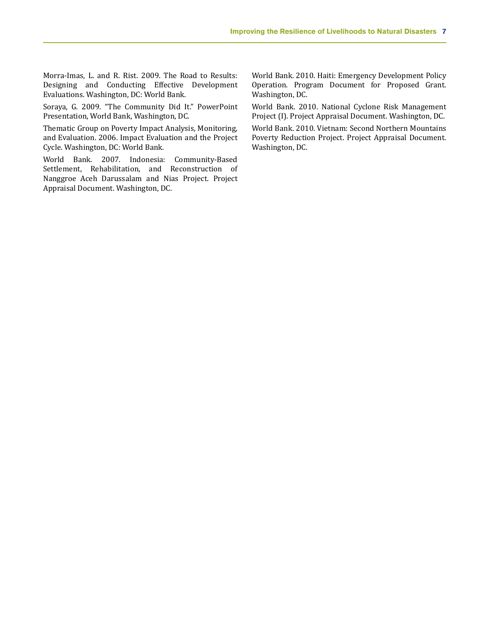Morra-Imas, L. and R. Rist. 2009. The Road to Results: Designing and Conducting Effective Development Evaluations. Washington, DC: World Bank.

Soraya, G. 2009. "The Community Did It." PowerPoint Presentation, World Bank, Washington, DC.

Thematic Group on Poverty Impact Analysis, Monitoring, and Evaluation. 2006. Impact Evaluation and the Project Cycle. Washington, DC: World Bank.

World Bank. 2007. Indonesia: Community-Based Settlement, Rehabilitation, and Reconstruction of Nanggroe Aceh Darussalam and Nias Project. Project Appraisal Document. Washington, DC.

World Bank. 2010. Haiti: Emergency Development Policy Operation. Program Document for Proposed Grant. Washington, DC.

World Bank. 2010. National Cyclone Risk Management Project (I). Project Appraisal Document. Washington, DC.

World Bank. 2010. Vietnam: Second Northern Mountains Poverty Reduction Project. Project Appraisal Document. Washington, DC.